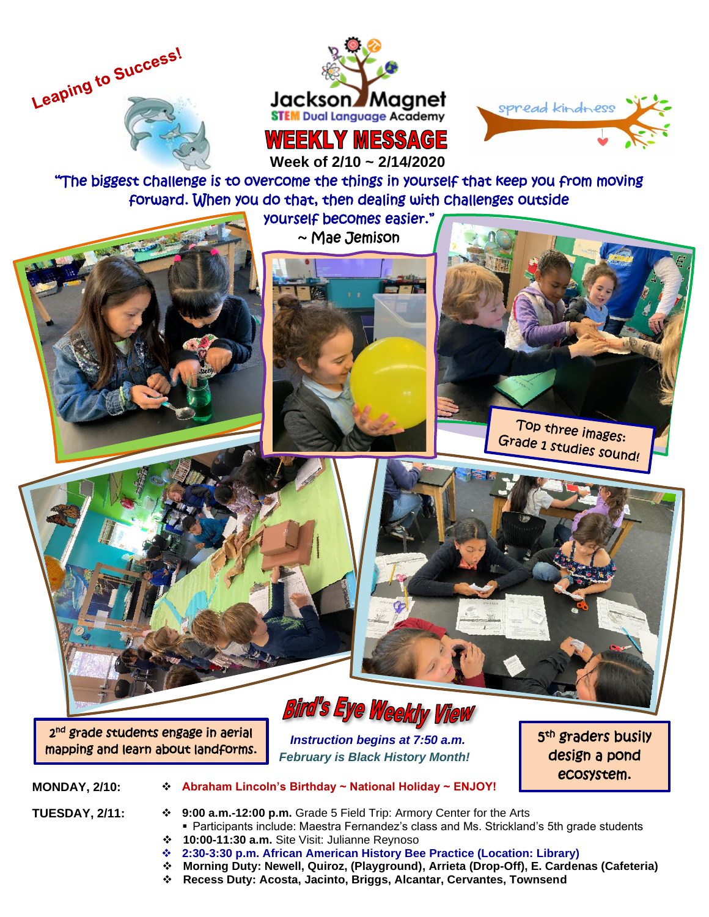

**TANK OF THE** 

j ĺ, j ١





 **Week of 2/10 ~ 2/14/2020**

"The biggest challenge is to overcome the things in yourself that keep you from moving forward. When you do that, then dealing with challenges outside

yourself becomes easier."  $\sim$  Mae Jemison







2 nd grade students engage in aerial mapping and learn about landforms.

## Bird's Eye Weekly View

 *Instruction begins at 7:50 a.m. February is Black History Month!* 5<sup>th</sup> graders busily design a pond ecosystem.

- **MONDAY, 2/10:** ❖ **Abraham Lincoln's Birthday ~ National Holiday ~ ENJOY!**
	-
- **TUESDAY, 2/11:** ❖ **9:00 a.m.-12:00 p.m.** Grade 5 Field Trip: Armory Center for the Arts ■ Participants include: Maestra Fernandez's class and Ms. Strickland's 5th grade students
	- ❖ **10:00-11:30 a.m.** Site Visit: Julianne Reynoso
	- ❖ **2:30-3:30 p.m. African American History Bee Practice (Location: Library)**
	- ❖ **Morning Duty: Newell, Quiroz, (Playground), Arrieta (Drop-Off), E. Cardenas (Cafeteria)**
	- ❖ **Recess Duty: Acosta, Jacinto, Briggs, Alcantar, Cervantes, Townsend**